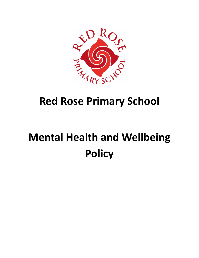

# **Red Rose Primary School**

# **Mental Health and Wellbeing Policy**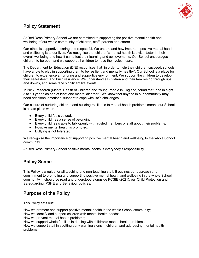

# **Policy Statement**

At Red Rose Primary School we are committed to supporting the positive mental health and wellbeing of our whole community of children, staff, parents and carers.

Our ethos is supportive, caring and respectful. We understand how important positive mental health and wellbeing is to our lives. We recognise that children's mental health is a vital factor in their overall wellbeing and how it can affect their learning and achievements. Our School encourages children to be open and we support all children to have their voice heard.

The Department for Education (DfE) recognises that "in order to help their children succeed, schools have a role to play in supporting them to be resilient and mentally healthy". Our School is a place for children to experience a nurturing and supportive environment. We support the children to develop their self-esteem and build resilience. We understand all children and their families go through ups and downs, and some face significant life events.

In 2017, research (Mental Health of Children and Young People in England) found that "one in eight 5 to 19-year olds had at least one mental disorder". We know that anyone in our community may need additional emotional support to cope with life's challenges.

Our culture of nurturing children and building resilience to mental health problems means our School is a safe place where:

- Every child feels valued;
- Every child has a sense of belonging;
- Every child feels able to talk openly with trusted members of staff about their problems;
- Positive mental health is promoted;
- Bullying is not tolerated.

We recognise the importance of supporting positive mental health and wellbeing to the whole School community.

At Red Rose Primary School positive mental health is everybody's responsibility.

## **Policy Scope**

This Policy is a guide for all teaching and non-teaching staff. It outlines our approach and commitment to promoting and supporting positive mental health and wellbeing in the whole School community. It should be read and understood alongside KCSIE (2021), our Child Protection and Safeguarding, PSHE and Behaviour policies.

# **Purpose of the Policy**

This Policy sets out:

How we promote and support positive mental health in the whole School community; How we identify and support children with mental health needs;

How we prevent mental health problems;

How we support whole families in dealing with children's mental health problems;

How we support staff in spotting early warning signs in children and addressing mental health problems.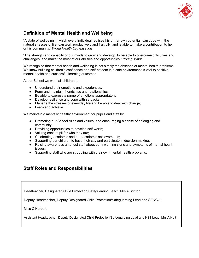

# **Definition of Mental Health and Wellbeing**

"A state of wellbeing in which every individual realises his or her own potential, can cope with the natural stresses of life, can work productively and fruitfully, and is able to make a contribution to her or his community." *World Health Organisation*

"The strength and capacity of our minds to grow and develop, to be able to overcome difficulties and challenges, and make the most of our abilities and opportunities." *Young Minds*

We recognise that mental health and wellbeing is not simply the absence of mental health problems. We know building children's confidence and self-esteem in a safe environment is vital to positive mental health and successful learning outcomes.

At our School we want all children to:

- Understand their emotions and experiences;
- Form and maintain friendships and relationships;
- Be able to express a range of emotions appropriately:
- Develop resilience and cope with setbacks;
- Manage the stresses of everyday life and be able to deal with change;
- Learn and achieve.

We maintain a mentally healthy environment for pupils and staff by:

- Promoting our School rules and values, and encouraging a sense of belonging and community;
- Providing opportunities to develop self-worth;
- Valuing each pupil for who they are;
- Celebrating academic and non-academic achievements;
- Supporting our children to have their say and participate in decision-making;
- Raising awareness amongst staff about early warning signs and symptoms of mental health issues;
- Supporting staff who are struggling with their own mental health problems.

#### **Staff Roles and Responsibilities**

Headteacher, Designated Child Protection/Safeguarding Lead: Mrs A Brinton

Deputy Headteacher, Deputy Designated Child Protection/Safeguarding Lead and SENCO:

Miss C Herbert

Assistant Headteacher, Deputy Designated Child Protection/Safeguarding Lead and KS1 Lead: Mrs A Holt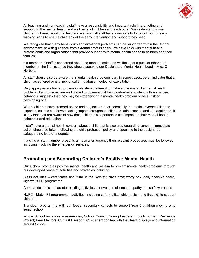

All teaching and non-teaching staff have a responsibility and important role in promoting and supporting the mental health and well being of children and each other. We understand some children will need additional help and we know all staff have a responsibility to look out for early warning signs to ensure children get the early intervention and support they need.

We recognise that many behaviours and emotional problems can be supported within the School environment, or with guidance from external professionals. We have links with mental health professionals and organisations that provide support with mental health needs to children and their families.

If a member of staff is concerned about the mental health and wellbeing of a pupil or other staff member, in the first instance they should speak to our Designated Mental Health Lead – Miss C Herbert.

All staff should also be aware that mental health problems can, in some cases, be an indicator that a child has suffered or is at risk of suffering abuse, neglect or exploitation.

Only appropriately trained professionals should attempt to make a diagnosis of a mental health problem. Staff however, are well placed to observe children day-to-day and identify those whose behaviour suggests that they may be experiencing a mental health problem or be at risk of developing one.

Where children have suffered abuse and neglect, or other potentially traumatic adverse childhood experiences, this can have a lasting impact throughout childhood, adolescence and into adulthood. It is key that staff are aware of how these children's experiences can impact on their mental health, behaviour and education.

If staff have a mental health concern about a child that is also a safeguarding concern, immediate action should be taken, following the child protection policy and speaking to the designated safeguarding lead or a deputy.

If a child or staff member presents a medical emergency then relevant procedures must be followed, including involving the emergency services.

## **Promoting and Supporting Children's Positive Mental Health**

Our School promotes positive mental health and we aim to prevent mental health problems through our developed range of activities and strategies including:

Class activities – certificates and 'Star in the Rocket'; circle time; worry box, daily check-in board, Jigsaw PSHE programme.

Commando Joe's – character building activities to develop resilience, empathy and self awareness

NUFC - Match Fit programme– activities (including safety, citizenship, racism and first aid) to support children.

Transition programme with our feeder secondary schools to support Year 6 children moving onto senior school.

Whole School initiatives – assemblies; School Council; Young Leaders through Durham Resilience Project; Peer Mentors, Cultural Passport, CJ's; afternoon tea with the Head; displays and information around School.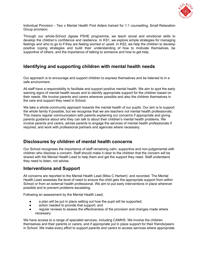

Individual Provision - Two x Mental Health First Aiders trained for 1:1 counselling, Small Relaxation Group provision.

Through our whole-School Jigsaw PSHE programme, we teach social and emotional skills to develop the children's confidence and resilience. In KS1, we explore simple strategies for managing feelings and who to go to if they are feeling worried or upset. In KS2, we help the children to develop positive coping strategies and build their understanding of how to motivate themselves, be supportive of others, and the importance of talking to someone and how to get help.

#### **Identifying and supporting children with mental health needs**

Our approach is to encourage and support children to express themselves and be listened to in a safe environment.

All staff have a responsibility to facilitate and support positive mental health. We aim to spot the early warning signs of mental health issues and to identify appropriate support for the children based on their needs. We involve parents and carers wherever possible and also the children themselves in the care and support they need in School.

We take a whole-community approach towards the mental health of our pupils. Our aim is to support the whole family if possible, but we recognise that we are teachers not mental health professionals. This means regular communication with parents explaining our concerns if appropriate and giving parents guidance about who they can talk to about their children's mental health problems. We involve parents and carers, advise parents to engage the services of mental health professionals if required, and work with professional partners and agencies where necessary.

#### **Disclosures by children of mental health concerns**

Our School recognises the importance of staff remaining calm, supportive and non-judgemental with children who disclose a concern. Staff should make it clear to the children that the concern will be shared with the Mental Health Lead to help them and get the support they need. Staff understand they need to listen, not advise.

#### **Interventions and Support**

All concerns are reported to the Mental Health Lead (Miss C Herbert) and recorded. The Mental Health Lead assesses the level of need to ensure the child gets the appropriate support from within School or from an external health professional. We aim to put early interventions in place wherever possible and to prevent problems escalating.

Following an assessment by the Mental Health Lead;

- a plan will be put in place setting out how the pupil will be supported;
- action needed to provide that support; and
- regular reviews to assess the effectiveness of the provision and changes made where necessary.

We have access to a range of specialist services, including CAMHS. We involve the children themselves and their parents or carers, and if appropriate put in place support for their friends/peers in School. We make every effort to support parents and carers to access services where appropriate.